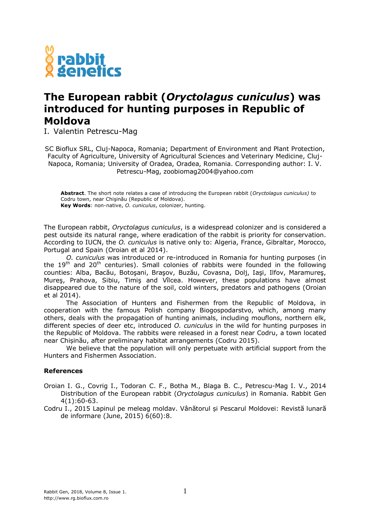

## **The European rabbit (***Oryctolagus cuniculus***) was introduced for hunting purposes in Republic of Moldova**

I. Valentin Petrescu-Mag

SC Bioflux SRL, Cluj-Napoca, Romania; Department of Environment and Plant Protection, Faculty of Agriculture, University of Agricultural Sciences and Veterinary Medicine, Cluj-Napoca, Romania; University of Oradea, Oradea, Romania. Corresponding author: I. V. Petrescu-Mag, zoobiomag2004@yahoo.com

**Abstract**. The short note relates a case of introducing the European rabbit (*Oryctolagus cuniculus)* to Codru town, near Chişinău (Republic of Moldova). **Key Words**: non-native, *O. cuniculus*, colonizer, hunting.

The European rabbit, *Oryctolagus cuniculus*, is a widespread colonizer and is considered a pest outside its natural range, where eradication of the rabbit is priority for conservation. According to IUCN, the *O. cuniculus* is native only to: Algeria, France, Gibraltar, Morocco, Portugal and Spain (Oroian et al 2014).

*O. cuniculus* was introduced or re-introduced in Romania for hunting purposes (in the  $19<sup>th</sup>$  and  $20<sup>th</sup>$  centuries). Small colonies of rabbits were founded in the following counties: Alba, Bacău, Botoşani, Braşov, Buzău, Covasna, Dolj, Iaşi, Ilfov, Maramureş, Mureş, Prahova, Sibiu, Timiş and Vîlcea. However, these populations have almost disappeared due to the nature of the soil, cold winters, predators and pathogens (Oroian et al 2014).

The Association of Hunters and Fishermen from the Republic of Moldova, in cooperation with the famous Polish company Biogospodarstvo, which, among many others, deals with the propagation of hunting animals, including mouflons, northern elk, different species of deer etc, introduced *O. cuniculus* in the wild for hunting purposes in the Republic of Moldova. The rabbits were released in a forest near Codru, a town located near Chișinău, after preliminary habitat arrangements (Codru 2015).

We believe that the population will only perpetuate with artificial support from the Hunters and Fishermen Association.

## **References**

- Oroian I. G., Covrig I., Todoran C. F., Botha M., Blaga B. C., Petrescu-Mag I. V., 2014 Distribution of the European rabbit (*Oryctolagus cuniculus*) in Romania. Rabbit Gen 4(1):60-63.
- Codru I., 2015 Lapinul pe meleag moldav. Vânătorul și Pescarul Moldovei: Revistă lunară de informare (June, 2015) 6(60):8.